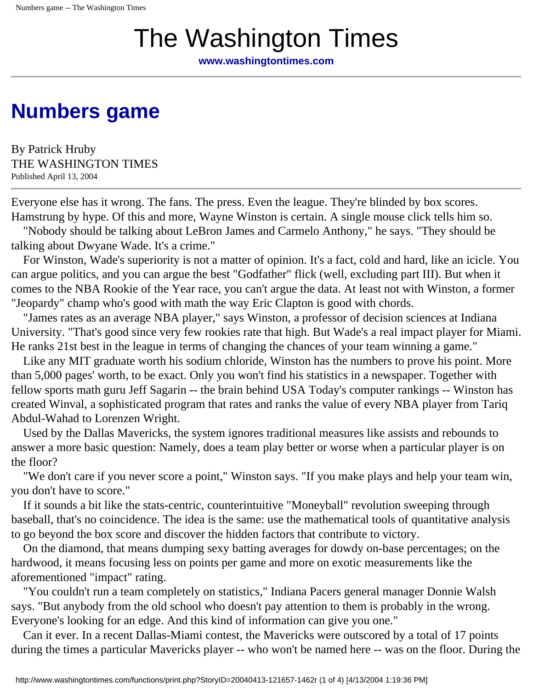## The Washington Times

**[www.washingtontimes.com](http://www.washingtontimes.com/)**

## **[Numbers game](http://www.washingtontimes.com/sports/20040413-121657-1462r.htm)**

By Patrick Hruby THE WASHINGTON TIMES Published April 13, 2004

Everyone else has it wrong. The fans. The press. Even the league. They're blinded by box scores. Hamstrung by hype. Of this and more, Wayne Winston is certain. A single mouse click tells him so.

 "Nobody should be talking about LeBron James and Carmelo Anthony," he says. "They should be talking about Dwyane Wade. It's a crime."

 For Winston, Wade's superiority is not a matter of opinion. It's a fact, cold and hard, like an icicle. You can argue politics, and you can argue the best "Godfather" flick (well, excluding part III). But when it comes to the NBA Rookie of the Year race, you can't argue the data. At least not with Winston, a former "Jeopardy" champ who's good with math the way Eric Clapton is good with chords.

 "James rates as an average NBA player," says Winston, a professor of decision sciences at Indiana University. "That's good since very few rookies rate that high. But Wade's a real impact player for Miami. He ranks 21st best in the league in terms of changing the chances of your team winning a game."

 Like any MIT graduate worth his sodium chloride, Winston has the numbers to prove his point. More than 5,000 pages' worth, to be exact. Only you won't find his statistics in a newspaper. Together with fellow sports math guru Jeff Sagarin -- the brain behind USA Today's computer rankings -- Winston has created Winval, a sophisticated program that rates and ranks the value of every NBA player from Tariq Abdul-Wahad to Lorenzen Wright.

 Used by the Dallas Mavericks, the system ignores traditional measures like assists and rebounds to answer a more basic question: Namely, does a team play better or worse when a particular player is on the floor?

 "We don't care if you never score a point," Winston says. "If you make plays and help your team win, you don't have to score."

 If it sounds a bit like the stats-centric, counterintuitive "Moneyball" revolution sweeping through baseball, that's no coincidence. The idea is the same: use the mathematical tools of quantitative analysis to go beyond the box score and discover the hidden factors that contribute to victory.

 On the diamond, that means dumping sexy batting averages for dowdy on-base percentages; on the hardwood, it means focusing less on points per game and more on exotic measurements like the aforementioned "impact" rating.

 "You couldn't run a team completely on statistics," Indiana Pacers general manager Donnie Walsh says. "But anybody from the old school who doesn't pay attention to them is probably in the wrong. Everyone's looking for an edge. And this kind of information can give you one."

 Can it ever. In a recent Dallas-Miami contest, the Mavericks were outscored by a total of 17 points during the times a particular Mavericks player -- who won't be named here -- was on the floor. During the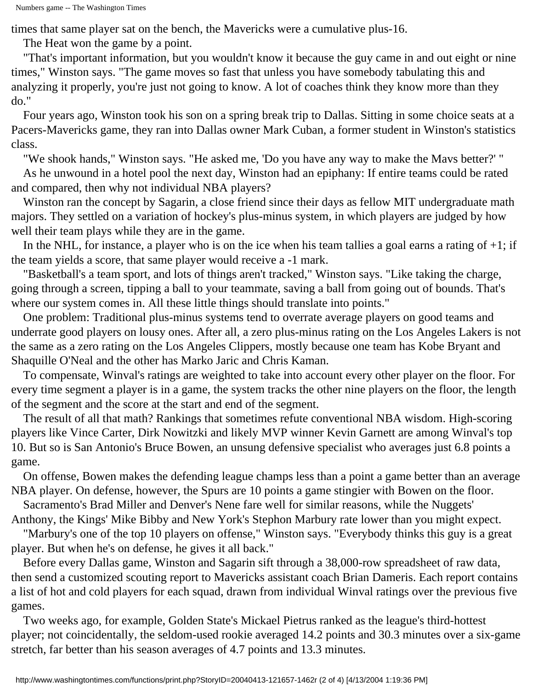times that same player sat on the bench, the Mavericks were a cumulative plus-16.

The Heat won the game by a point.

 "That's important information, but you wouldn't know it because the guy came in and out eight or nine times," Winston says. "The game moves so fast that unless you have somebody tabulating this and analyzing it properly, you're just not going to know. A lot of coaches think they know more than they do."

 Four years ago, Winston took his son on a spring break trip to Dallas. Sitting in some choice seats at a Pacers-Mavericks game, they ran into Dallas owner Mark Cuban, a former student in Winston's statistics class.

"We shook hands," Winston says. "He asked me, 'Do you have any way to make the Mavs better?' "

 As he unwound in a hotel pool the next day, Winston had an epiphany: If entire teams could be rated and compared, then why not individual NBA players?

 Winston ran the concept by Sagarin, a close friend since their days as fellow MIT undergraduate math majors. They settled on a variation of hockey's plus-minus system, in which players are judged by how well their team plays while they are in the game.

In the NHL, for instance, a player who is on the ice when his team tallies a goal earns a rating of  $+1$ ; if the team yields a score, that same player would receive a -1 mark.

 "Basketball's a team sport, and lots of things aren't tracked," Winston says. "Like taking the charge, going through a screen, tipping a ball to your teammate, saving a ball from going out of bounds. That's where our system comes in. All these little things should translate into points."

 One problem: Traditional plus-minus systems tend to overrate average players on good teams and underrate good players on lousy ones. After all, a zero plus-minus rating on the Los Angeles Lakers is not the same as a zero rating on the Los Angeles Clippers, mostly because one team has Kobe Bryant and Shaquille O'Neal and the other has Marko Jaric and Chris Kaman.

 To compensate, Winval's ratings are weighted to take into account every other player on the floor. For every time segment a player is in a game, the system tracks the other nine players on the floor, the length of the segment and the score at the start and end of the segment.

 The result of all that math? Rankings that sometimes refute conventional NBA wisdom. High-scoring players like Vince Carter, Dirk Nowitzki and likely MVP winner Kevin Garnett are among Winval's top 10. But so is San Antonio's Bruce Bowen, an unsung defensive specialist who averages just 6.8 points a game.

 On offense, Bowen makes the defending league champs less than a point a game better than an average NBA player. On defense, however, the Spurs are 10 points a game stingier with Bowen on the floor.

Sacramento's Brad Miller and Denver's Nene fare well for similar reasons, while the Nuggets'

Anthony, the Kings' Mike Bibby and New York's Stephon Marbury rate lower than you might expect.

 "Marbury's one of the top 10 players on offense," Winston says. "Everybody thinks this guy is a great player. But when he's on defense, he gives it all back."

 Before every Dallas game, Winston and Sagarin sift through a 38,000-row spreadsheet of raw data, then send a customized scouting report to Mavericks assistant coach Brian Dameris. Each report contains a list of hot and cold players for each squad, drawn from individual Winval ratings over the previous five games.

 Two weeks ago, for example, Golden State's Mickael Pietrus ranked as the league's third-hottest player; not coincidentally, the seldom-used rookie averaged 14.2 points and 30.3 minutes over a six-game stretch, far better than his season averages of 4.7 points and 13.3 minutes.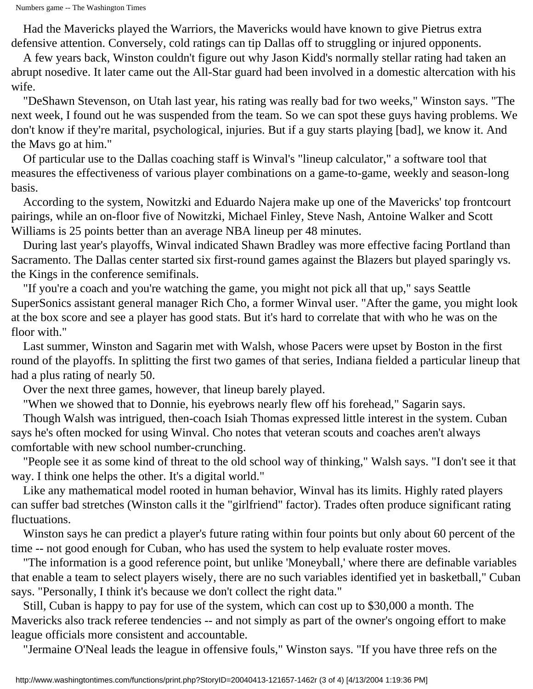Had the Mavericks played the Warriors, the Mavericks would have known to give Pietrus extra defensive attention. Conversely, cold ratings can tip Dallas off to struggling or injured opponents.

 A few years back, Winston couldn't figure out why Jason Kidd's normally stellar rating had taken an abrupt nosedive. It later came out the All-Star guard had been involved in a domestic altercation with his wife.

 "DeShawn Stevenson, on Utah last year, his rating was really bad for two weeks," Winston says. "The next week, I found out he was suspended from the team. So we can spot these guys having problems. We don't know if they're marital, psychological, injuries. But if a guy starts playing [bad], we know it. And the Mavs go at him."

 Of particular use to the Dallas coaching staff is Winval's "lineup calculator," a software tool that measures the effectiveness of various player combinations on a game-to-game, weekly and season-long basis.

 According to the system, Nowitzki and Eduardo Najera make up one of the Mavericks' top frontcourt pairings, while an on-floor five of Nowitzki, Michael Finley, Steve Nash, Antoine Walker and Scott Williams is 25 points better than an average NBA lineup per 48 minutes.

 During last year's playoffs, Winval indicated Shawn Bradley was more effective facing Portland than Sacramento. The Dallas center started six first-round games against the Blazers but played sparingly vs. the Kings in the conference semifinals.

 "If you're a coach and you're watching the game, you might not pick all that up," says Seattle SuperSonics assistant general manager Rich Cho, a former Winval user. "After the game, you might look at the box score and see a player has good stats. But it's hard to correlate that with who he was on the floor with."

 Last summer, Winston and Sagarin met with Walsh, whose Pacers were upset by Boston in the first round of the playoffs. In splitting the first two games of that series, Indiana fielded a particular lineup that had a plus rating of nearly 50.

Over the next three games, however, that lineup barely played.

"When we showed that to Donnie, his eyebrows nearly flew off his forehead," Sagarin says.

 Though Walsh was intrigued, then-coach Isiah Thomas expressed little interest in the system. Cuban says he's often mocked for using Winval. Cho notes that veteran scouts and coaches aren't always comfortable with new school number-crunching.

 "People see it as some kind of threat to the old school way of thinking," Walsh says. "I don't see it that way. I think one helps the other. It's a digital world."

 Like any mathematical model rooted in human behavior, Winval has its limits. Highly rated players can suffer bad stretches (Winston calls it the "girlfriend" factor). Trades often produce significant rating fluctuations.

 Winston says he can predict a player's future rating within four points but only about 60 percent of the time -- not good enough for Cuban, who has used the system to help evaluate roster moves.

 "The information is a good reference point, but unlike 'Moneyball,' where there are definable variables that enable a team to select players wisely, there are no such variables identified yet in basketball," Cuban says. "Personally, I think it's because we don't collect the right data."

 Still, Cuban is happy to pay for use of the system, which can cost up to \$30,000 a month. The Mavericks also track referee tendencies -- and not simply as part of the owner's ongoing effort to make league officials more consistent and accountable.

"Jermaine O'Neal leads the league in offensive fouls," Winston says. "If you have three refs on the